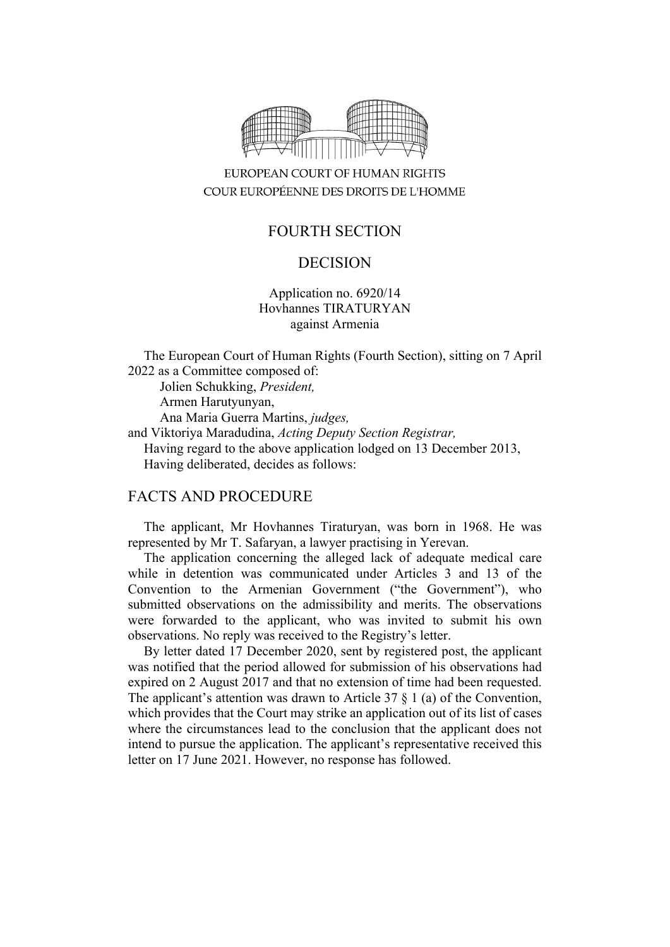

## EUROPEAN COURT OF HUMAN RIGHTS COUR EUROPÉENNE DES DROITS DE L'HOMME

# FOURTH SECTION

## DECISION

### Application no. 6920/14 Hovhannes TIRATURYAN against Armenia

The European Court of Human Rights (Fourth Section), sitting on 7 April 2022 as a Committee composed of:

Jolien Schukking, *President,* Armen Harutyunyan, Ana Maria Guerra Martins, *judges,* and Viktoriya Maradudina, *Acting Deputy Section Registrar,* Having regard to the above application lodged on 13 December 2013, Having deliberated, decides as follows:

#### FACTS AND PROCEDURE

The applicant, Mr Hovhannes Tiraturyan, was born in 1968. He was represented by Mr T. Safaryan, a lawyer practising in Yerevan.

The application concerning the alleged lack of adequate medical care while in detention was communicated under Articles 3 and 13 of the Convention to the Armenian Government ("the Government"), who submitted observations on the admissibility and merits. The observations were forwarded to the applicant, who was invited to submit his own observations. No reply was received to the Registry's letter.

By letter dated 17 December 2020, sent by registered post, the applicant was notified that the period allowed for submission of his observations had expired on 2 August 2017 and that no extension of time had been requested. The applicant's attention was drawn to Article 37  $\S$  1 (a) of the Convention, which provides that the Court may strike an application out of its list of cases where the circumstances lead to the conclusion that the applicant does not intend to pursue the application. The applicant's representative received this letter on 17 June 2021. However, no response has followed.